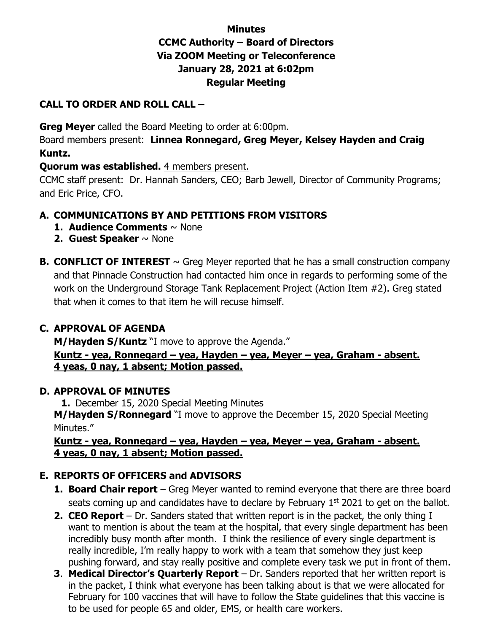# **Minutes CCMC Authority – Board of Directors Via ZOOM Meeting or Teleconference January 28, 2021 at 6:02pm Regular Meeting**

### **CALL TO ORDER AND ROLL CALL –**

**Greg Meyer** called the Board Meeting to order at 6:00pm.

Board members present: **Linnea Ronnegard, Greg Meyer, Kelsey Hayden and Craig Kuntz.** 

### **Quorum was established.** 4 members present.

CCMC staff present: Dr. Hannah Sanders, CEO; Barb Jewell, Director of Community Programs; and Eric Price, CFO.

# **A. COMMUNICATIONS BY AND PETITIONS FROM VISITORS**

- **1. Audience Comments** ~ None
- **2. Guest Speaker** ~ None
- **B. CONFLICT OF INTEREST**  $\sim$  Greg Meyer reported that he has a small construction company and that Pinnacle Construction had contacted him once in regards to performing some of the work on the Underground Storage Tank Replacement Project (Action Item #2). Greg stated that when it comes to that item he will recuse himself.

# **C. APPROVAL OF AGENDA**

**M/Hayden S/Kuntz** "I move to approve the Agenda."

**Kuntz - yea, Ronnegard – yea, Hayden – yea, Meyer – yea, Graham - absent. 4 yeas, 0 nay, 1 absent; Motion passed.** 

#### **D. APPROVAL OF MINUTES**

**1.** December 15, 2020 Special Meeting Minutes **M/Hayden S/Ronnegard** "I move to approve the December 15, 2020 Special Meeting Minutes."

#### **Kuntz - yea, Ronnegard – yea, Hayden – yea, Meyer – yea, Graham - absent. 4 yeas, 0 nay, 1 absent; Motion passed.**

# **E. REPORTS OF OFFICERS and ADVISORS**

- **1. Board Chair report** Greg Meyer wanted to remind everyone that there are three board seats coming up and candidates have to declare by February  $1<sup>st</sup>$  2021 to get on the ballot.
- **2. CEO Report** Dr. Sanders stated that written report is in the packet, the only thing I want to mention is about the team at the hospital, that every single department has been incredibly busy month after month. I think the resilience of every single department is really incredible, I'm really happy to work with a team that somehow they just keep pushing forward, and stay really positive and complete every task we put in front of them.
- **3**. **Medical Director's Quarterly Report** Dr. Sanders reported that her written report is in the packet, I think what everyone has been talking about is that we were allocated for February for 100 vaccines that will have to follow the State guidelines that this vaccine is to be used for people 65 and older, EMS, or health care workers.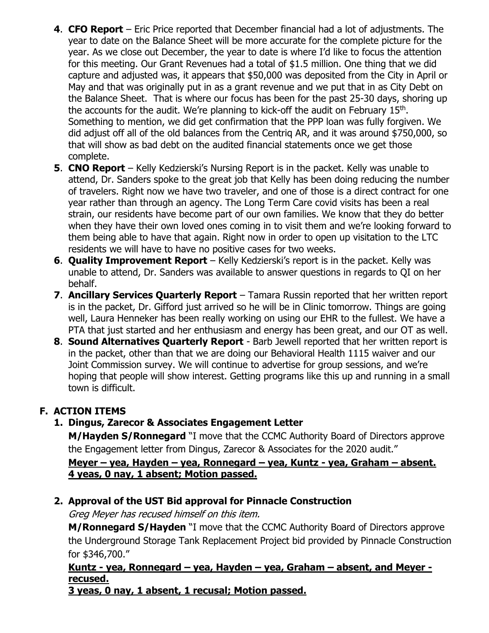- **4**. **CFO Report** Eric Price reported that December financial had a lot of adjustments. The year to date on the Balance Sheet will be more accurate for the complete picture for the year. As we close out December, the year to date is where I'd like to focus the attention for this meeting. Our Grant Revenues had a total of \$1.5 million. One thing that we did capture and adjusted was, it appears that \$50,000 was deposited from the City in April or May and that was originally put in as a grant revenue and we put that in as City Debt on the Balance Sheet. That is where our focus has been for the past 25-30 days, shoring up the accounts for the audit. We're planning to kick-off the audit on February 15<sup>th</sup>. Something to mention, we did get confirmation that the PPP loan was fully forgiven. We did adjust off all of the old balances from the Centriq AR, and it was around \$750,000, so that will show as bad debt on the audited financial statements once we get those complete.
- **5**. **CNO Report** Kelly Kedzierski's Nursing Report is in the packet. Kelly was unable to attend, Dr. Sanders spoke to the great job that Kelly has been doing reducing the number of travelers. Right now we have two traveler, and one of those is a direct contract for one year rather than through an agency. The Long Term Care covid visits has been a real strain, our residents have become part of our own families. We know that they do better when they have their own loved ones coming in to visit them and we're looking forward to them being able to have that again. Right now in order to open up visitation to the LTC residents we will have to have no positive cases for two weeks.
- **6**. **Quality Improvement Report** Kelly Kedzierski's report is in the packet. Kelly was unable to attend, Dr. Sanders was available to answer questions in regards to QI on her behalf.
- **7**. **Ancillary Services Quarterly Report** Tamara Russin reported that her written report is in the packet, Dr. Gifford just arrived so he will be in Clinic tomorrow. Things are going well, Laura Henneker has been really working on using our EHR to the fullest. We have a PTA that just started and her enthusiasm and energy has been great, and our OT as well.
- **8**. **Sound Alternatives Quarterly Report** Barb Jewell reported that her written report is in the packet, other than that we are doing our Behavioral Health 1115 waiver and our Joint Commission survey. We will continue to advertise for group sessions, and we're hoping that people will show interest. Getting programs like this up and running in a small town is difficult.

# **F. ACTION ITEMS**

#### **1. Dingus, Zarecor & Associates Engagement Letter**

**M/Hayden S/Ronnegard** "I move that the CCMC Authority Board of Directors approve the Engagement letter from Dingus, Zarecor & Associates for the 2020 audit."

#### **Meyer – yea, Hayden – yea, Ronnegard – yea, Kuntz - yea, Graham – absent. 4 yeas, 0 nay, 1 absent; Motion passed.**

#### **2. Approval of the UST Bid approval for Pinnacle Construction**

Greg Meyer has recused himself on this item.

**M/Ronnegard S/Hayden** "I move that the CCMC Authority Board of Directors approve the Underground Storage Tank Replacement Project bid provided by Pinnacle Construction for \$346,700."

# **Kuntz - yea, Ronnegard – yea, Hayden – yea, Graham – absent, and Meyer recused.**

**3 yeas, 0 nay, 1 absent, 1 recusal; Motion passed.**